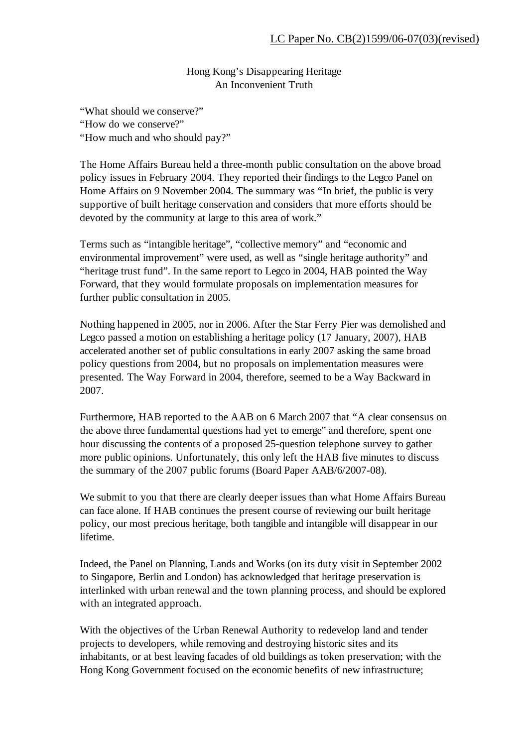Hong Kong's Disappearing Heritage An Inconvenient Truth

"What should we conserve?" "How do we conserve?" "How much and who should pay?"

The Home Affairs Bureau held a three-month public consultation on the above broad policy issues in February 2004. They reported their findings to the Legco Panel on Home Affairs on 9 November 2004. The summary was "In brief, the public is very supportive of built heritage conservation and considers that more efforts should be devoted by the community at large to this area of work."

Terms such as "intangible heritage", "collective memory" and "economic and environmental improvement" were used, as well as "single heritage authority" and "heritage trust fund". In the same report to Legco in 2004, HAB pointed the Way Forward, that they would formulate proposals on implementation measures for further public consultation in 2005.

Nothing happened in 2005, nor in 2006. After the Star Ferry Pier was demolished and Legco passed a motion on establishing a heritage policy (17 January, 2007), HAB accelerated another set of public consultations in early 2007 asking the same broad policy questions from 2004, but no proposals on implementation measures were presented. The Way Forward in 2004, therefore, seemed to be a Way Backward in 2007.

Furthermore, HAB reported to the AAB on 6 March 2007 that "A clear consensus on the above three fundamental questions had yet to emerge" and therefore, spent one hour discussing the contents of a proposed 25-question telephone survey to gather more public opinions. Unfortunately, this only left the HAB five minutes to discuss the summary of the 2007 public forums (Board Paper AAB/6/2007-08).

We submit to you that there are clearly deeper issues than what Home Affairs Bureau can face alone. If HAB continues the present course of reviewing our built heritage policy, our most precious heritage, both tangible and intangible will disappear in our lifetime.

Indeed, the Panel on Planning, Lands and Works (on its duty visit in September 2002 to Singapore, Berlin and London) has acknowledged that heritage preservation is interlinked with urban renewal and the town planning process, and should be explored with an integrated approach.

With the objectives of the Urban Renewal Authority to redevelop land and tender projects to developers, while removing and destroying historic sites and its inhabitants, or at best leaving facades of old buildings as token preservation; with the Hong Kong Government focused on the economic benefits of new infrastructure;